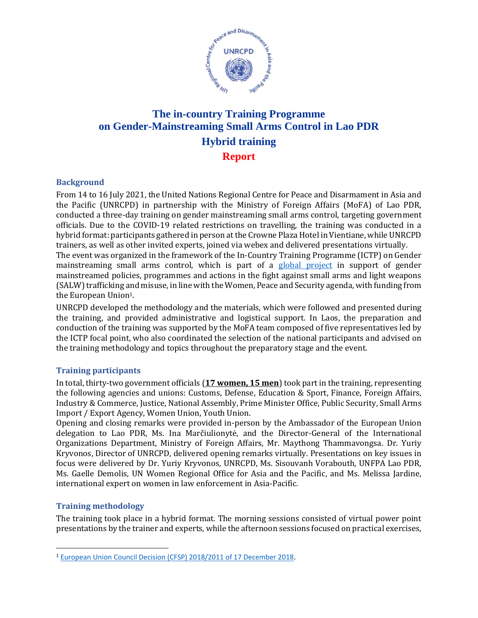

## **The in-country Training Programme on Gender-Mainstreaming Small Arms Control in Lao PDR Hybrid training Report**

## **Background**

From 14 to 16 July 2021, the United Nations Regional Centre for Peace and Disarmament in Asia and the Pacific (UNRCPD) in partnership with the Ministry of Foreign Affairs (MoFA) of Lao PDR, conducted a three-day training on gender mainstreaming small arms control, targeting government officials. Due to the COVID-19 related restrictions on travelling, the training was conducted in a hybrid format: participants gathered in person at the Crowne Plaza Hotel in Vientiane, while UNRCPD trainers, as well as other invited experts, joined via webex and delivered presentations virtually. The event was organized in the framework of the In-Country Training Programme (ICTP) on Gender mainstreaming small arms control, which is part of a [global project](https://www.un.org/disarmament/gender-and-small-arms-control/) in support of gender mainstreamed policies, programmes and actions in the fight against small arms and light weapons (SALW) trafficking and misuse, in line with the Women, Peace and Security agenda, with funding from

the European Union<sup>1</sup>.

UNRCPD developed the methodology and the materials, which were followed and presented during the training, and provided administrative and logistical support. In Laos, the preparation and conduction of the training was supported by the MoFA team composed of five representatives led by the ICTP focal point, who also coordinated the selection of the national participants and advised on the training methodology and topics throughout the preparatory stage and the event.

## **Training participants**

In total, thirty-two government officials (**17 women, 15 men**) took part in the training, representing the following agencies and unions: Customs, Defense, Education & Sport, Finance, Foreign Affairs, Industry & Commerce, Justice, National Assembly, Prime Minister Office, Public Security, Small Arms Import / Export Agency, Women Union, Youth Union.

Opening and closing remarks were provided in-person by the Ambassador of the European Union delegation to Lao PDR, Ms. Ina Marčiulionytė, and the Director-General of the International Organizations Department, Ministry of Foreign Affairs, Mr. Maythong Thammavongsa. Dr. Yuriy Kryvonos, Director of UNRCPD, delivered opening remarks virtually. Presentations on key issues in focus were delivered by Dr. Yuriy Kryvonos, UNRCPD, Ms. Sisouvanh Vorabouth, UNFPA Lao PDR, Ms. Gaelle Demolis, UN Women Regional Office for Asia and the Pacific, and Ms. Melissa Jardine, international expert on women in law enforcement in Asia-Pacific.

## **Training methodology**

The training took place in a hybrid format. The morning sessions consisted of virtual power point presentations by the trainer and experts, while the afternoon sessions focused on practical exercises,

<sup>1</sup> [European Union Council Decision \(CFSP\) 2018/2011 of 17 December 2018.](https://eur-lex.europa.eu/legal-content/EN/TXT/PDF/?uri=CELEX:32018D2011)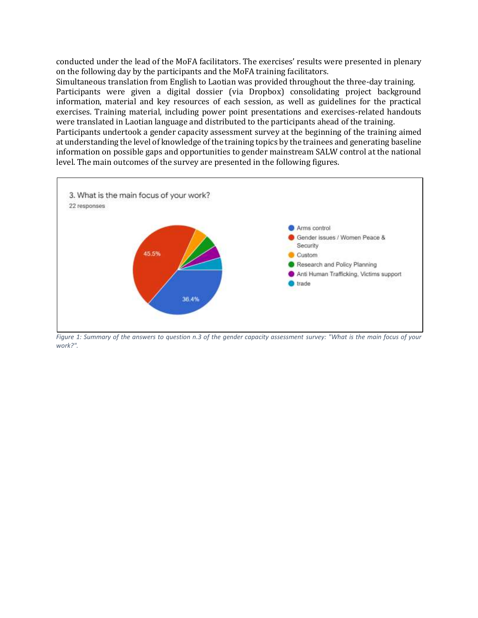conducted under the lead of the MoFA facilitators. The exercises' results were presented in plenary on the following day by the participants and the MoFA training facilitators.

Simultaneous translation from English to Laotian was provided throughout the three-day training. Participants were given a digital dossier (via Dropbox) consolidating project background information, material and key resources of each session, as well as guidelines for the practical exercises. Training material, including power point presentations and exercises-related handouts were translated in Laotian language and distributed to the participants ahead of the training.

Participants undertook a gender capacity assessment survey at the beginning of the training aimed at understanding the level of knowledge of the training topics by the trainees and generating baseline information on possible gaps and opportunities to gender mainstream SALW control at the national level. The main outcomes of the survey are presented in the following figures.



*Figure 1: Summary of the answers to question n.3 of the gender capacity assessment survey: "What is the main focus of your work?".*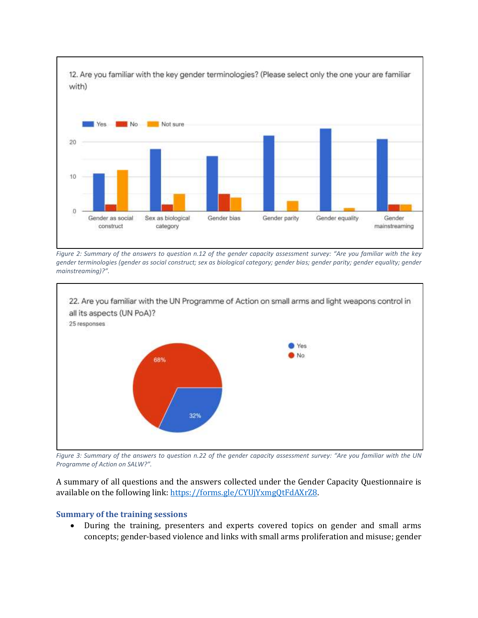

*Figure 2: Summary of the answers to question n.12 of the gender capacity assessment survey: "Are you familiar with the key gender terminologies (gender as social construct; sex as biological category; gender bias; gender parity; gender equality; gender mainstreaming)?".* 



*Figure 3: Summary of the answers to question n.22 of the gender capacity assessment survey: "Are you familiar with the UN Programme of Action on SALW?".*

A summary of all questions and the answers collected under the Gender Capacity Questionnaire is available on the following link: [https://forms.gle/CYUjYxmgQtFdAXrZ8.](https://forms.gle/CYUjYxmgQtFdAXrZ8)

## **Summary of the training sessions**

• During the training, presenters and experts covered topics on gender and small arms concepts; gender-based violence and links with small arms proliferation and misuse; gender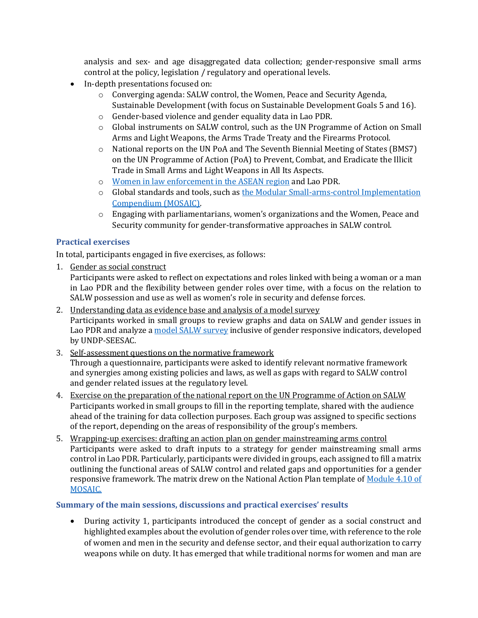analysis and sex- and age disaggregated data collection; gender-responsive small arms control at the policy, legislation / regulatory and operational levels.

- In-depth presentations focused on:
	- o Converging agenda: SALW control, the Women, Peace and Security Agenda, Sustainable Development (with focus on Sustainable Development Goals 5 and 16).
	- o Gender-based violence and gender equality data in Lao PDR.
	- o Global instruments on SALW control, such as the UN Programme of Action on Small Arms and Light Weapons, the Arms Trade Treaty and the Firearms Protocol.
	- o National reports on the UN PoA and The Seventh Biennial Meeting of States (BMS7) on the UN Programme of Action (PoA) to Prevent, Combat, and Eradicate the Illicit Trade in Small Arms and Light Weapons in All Its Aspects.
	- o [Women in law enforcement in the ASEAN region](https://asiapacific.unwomen.org/en/digital-library/publications/2020/08/women-in-law-enforcement-in-the-asean-region) and Lao PDR.
	- o Global standards and tools, such as [the Modular Small-arms-control Implementation](https://www.un.org/disarmament/convarms/mosaic/)  [Compendium \(MOSAIC\).](https://www.un.org/disarmament/convarms/mosaic/)
	- o Engaging with parliamentarians, women's organizations and the Women, Peace and Security community for gender-transformative approaches in SALW control.

## **Practical exercises**

In total, participants engaged in five exercises, as follows:

1. Gender as social construct

Participants were asked to reflect on expectations and roles linked with being a woman or a man in Lao PDR and the flexibility between gender roles over time, with a focus on the relation to SALW possession and use as well as women's role in security and defense forces.

- 2. Understanding data as evidence base and analysis of a model survey Participants worked in small groups to review graphs and data on SALW and gender issues in Lao PDR and analyze a [model SALW survey](https://www.seesac.org/SALW-Surveys/Bosnia-and-Herzegovina-Small-Arms-and-Light-Weapons-Survey/) inclusive of gender responsive indicators, developed by UNDP-SEESAC.
- 3. Self-assessment questions on the normative framework Through a questionnaire, participants were asked to identify relevant normative framework and synergies among existing policies and laws, as well as gaps with regard to SALW control and gender related issues at the regulatory level.
- 4. Exercise on the preparation of the national report on the UN Programme of Action on SALW Participants worked in small groups to fill in the reporting template, shared with the audience ahead of the training for data collection purposes. Each group was assigned to specific sections of the report, depending on the areas of responsibility of the group's members.
- 5. Wrapping-up exercises: drafting an action plan on gender mainstreaming arms control Participants were asked to draft inputs to a strategy for gender mainstreaming small arms control in Lao PDR. Particularly, participants were divided in groups, each assigned to fill a matrix outlining the functional areas of SALW control and related gaps and opportunities for a gender responsive framework. The matrix drew on the National Action Plan template of Module 4.10 of [MOSAIC.](https://unoda-web.s3.amazonaws.com/wp-content/uploads/2019/05/MOSAIC-04.10-2016EV1.0.pdf)

## **Summary of the main sessions, discussions and practical exercises' results**

• During activity 1, participants introduced the concept of gender as a social construct and highlighted examples about the evolution of gender roles over time, with reference to the role of women and men in the security and defense sector, and their equal authorization to carry weapons while on duty. It has emerged that while traditional norms for women and man are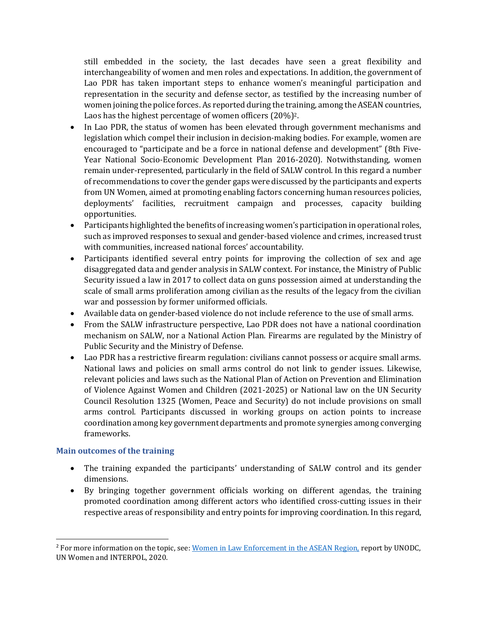still embedded in the society, the last decades have seen a great flexibility and interchangeability of women and men roles and expectations. In addition, the government of Lao PDR has taken important steps to enhance women's meaningful participation and representation in the security and defense sector, as testified by the increasing number of women joining the police forces. As reported during the training, among the ASEAN countries, Laos has the highest percentage of women officers (20%)2.

- In Lao PDR, the status of women has been elevated through government mechanisms and legislation which compel their inclusion in decision-making bodies. For example, women are encouraged to "participate and be a force in national defense and development" (8th Five-Year National Socio-Economic Development Plan 2016-2020). Notwithstanding, women remain under-represented, particularly in the field of SALW control. In this regard a number of recommendations to cover the gender gaps were discussed by the participants and experts from UN Women, aimed at promoting enabling factors concerning human resources policies, deployments' facilities, recruitment campaign and processes, capacity building opportunities.
- Participants highlighted the benefits of increasing women's participation in operational roles, such as improved responses to sexual and gender-based violence and crimes, increased trust with communities, increased national forces' accountability.
- Participants identified several entry points for improving the collection of sex and age disaggregated data and gender analysis in SALW context. For instance, the Ministry of Public Security issued a law in 2017 to collect data on guns possession aimed at understanding the scale of small arms proliferation among civilian as the results of the legacy from the civilian war and possession by former uniformed officials.
- Available data on gender-based violence do not include reference to the use of small arms.
- From the SALW infrastructure perspective, Lao PDR does not have a national coordination mechanism on SALW, nor a National Action Plan. Firearms are regulated by the Ministry of Public Security and the Ministry of Defense.
- Lao PDR has a restrictive firearm regulation: civilians cannot possess or acquire small arms. National laws and policies on small arms control do not link to gender issues. Likewise, relevant policies and laws such as the National Plan of Action on Prevention and Elimination of Violence Against Women and Children (2021-2025) or National law on the UN Security Council Resolution 1325 (Women, Peace and Security) do not include provisions on small arms control. Participants discussed in working groups on action points to increase coordination among key government departments and promote synergies among converging frameworks.

## **Main outcomes of the training**

- The training expanded the participants' understanding of SALW control and its gender dimensions.
- By bringing together government officials working on different agendas, the training promoted coordination among different actors who identified cross-cutting issues in their respective areas of responsibility and entry points for improving coordination. In this regard,

<sup>&</sup>lt;sup>2</sup> For more information on the topic, see[: Women in Law Enforcement in the ASEAN Region,](file:///C:/Users/Yuriy/AppData/Local/Microsoft/Windows/INetCache/Content.Outlook/0LXUQJBB/Women%20in%20Law%20Enforcement%20in%20the%20ASEAN%20Region) report by UNODC, UN Women and INTERPOL, 2020.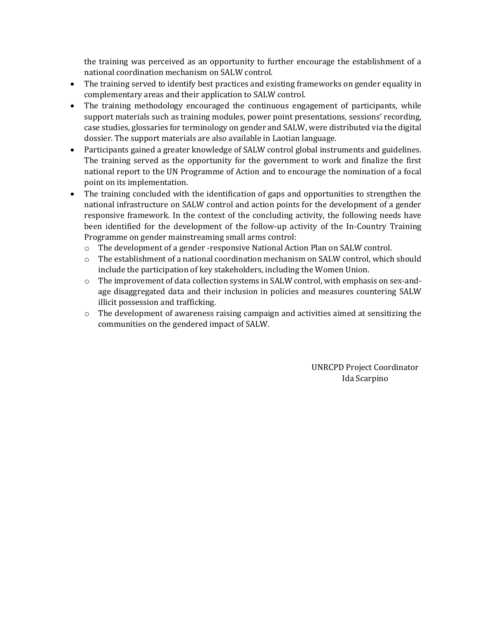the training was perceived as an opportunity to further encourage the establishment of a national coordination mechanism on SALW control.

- The training served to identify best practices and existing frameworks on gender equality in complementary areas and their application to SALW control.
- The training methodology encouraged the continuous engagement of participants, while support materials such as training modules, power point presentations, sessions' recording, case studies, glossaries for terminology on gender and SALW, were distributed via the digital dossier. The support materials are also available in Laotian language.
- Participants gained a greater knowledge of SALW control global instruments and guidelines. The training served as the opportunity for the government to work and finalize the first national report to the UN Programme of Action and to encourage the nomination of a focal point on its implementation.
- The training concluded with the identification of gaps and opportunities to strengthen the national infrastructure on SALW control and action points for the development of a gender responsive framework. In the context of the concluding activity, the following needs have been identified for the development of the follow-up activity of the In-Country Training Programme on gender mainstreaming small arms control:
	- $\circ$  The development of a gender -responsive National Action Plan on SALW control.
	- o The establishment of a national coordination mechanism on SALW control, which should include the participation of key stakeholders, including the Women Union.
	- o The improvement of data collection systems in SALW control, with emphasis on sex-andage disaggregated data and their inclusion in policies and measures countering SALW illicit possession and trafficking.
	- o The development of awareness raising campaign and activities aimed at sensitizing the communities on the gendered impact of SALW.

UNRCPD Project Coordinator Ida Scarpino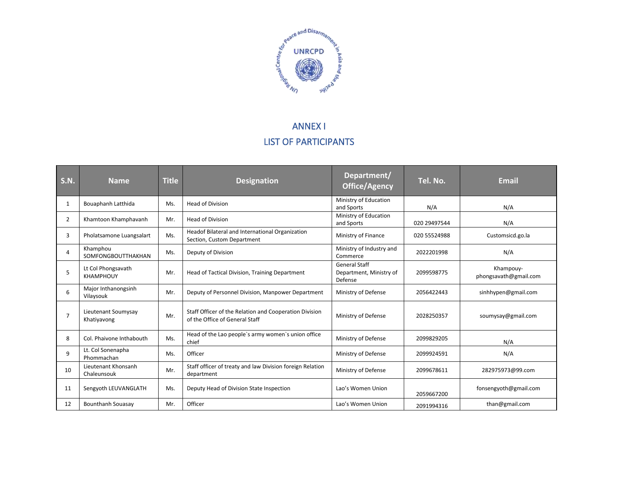

# ANNEX I LIST OF PARTICIPANTS

| <b>S.N.</b>    | <b>Name</b>                            | <b>Title</b> | <b>Designation</b>                                                                       | Department/<br><b>Office/Agency</b>                        | Tel. No.     | <b>Email</b>                       |
|----------------|----------------------------------------|--------------|------------------------------------------------------------------------------------------|------------------------------------------------------------|--------------|------------------------------------|
| 1              | Bouaphanh Latthida                     | Ms.          | <b>Head of Division</b>                                                                  | Ministry of Education<br>and Sports                        | N/A          | N/A                                |
| $\overline{2}$ | Khamtoon Khamphavanh                   | Mr.          | <b>Head of Division</b>                                                                  | Ministry of Education<br>and Sports                        | 020 29497544 | N/A                                |
| 3              | Pholatsamone Luangsalart               | Ms.          | Headof Bilateral and International Organization<br>Section, Custom Department            | Ministry of Finance                                        | 020 55524988 | Customsicd.go.la                   |
| 4              | Khamphou<br>SOMFONGBOUTTHAKHAN         | Ms.          | Deputy of Division                                                                       | Ministry of Industry and<br>Commerce                       | 2022201998   | N/A                                |
| 5              | Lt Col Phongsavath<br><b>KHAMPHOUY</b> | Mr.          | Head of Tactical Division, Training Department                                           | <b>General Staff</b><br>Department, Ministry of<br>Defense | 2099598775   | Khampouy-<br>phongsavath@gmail.com |
| 6              | Major Inthanongsinh<br>Vilaysouk       | Mr.          | Deputy of Personnel Division, Manpower Department                                        | Ministry of Defense                                        | 2056422443   | sinhhypen@gmail.com                |
| $\overline{7}$ | Lieutenant Soumysay<br>Khatiyavong     | Mr.          | Staff Officer of the Relation and Cooperation Division<br>of the Office of General Staff | Ministry of Defense                                        | 2028250357   | soumysay@gmail.com                 |
| 8              | Col. Phaivone Inthabouth               | Ms.          | Head of the Lao people's army women's union office<br>chief                              | Ministry of Defense                                        | 2099829205   | N/A                                |
| $\mathsf q$    | Lt. Col Sonenapha<br>Phommachan        | Ms.          | Officer                                                                                  | Ministry of Defense                                        | 2099924591   | N/A                                |
| 10             | Lieutenant Khonsanh<br>Chaleunsouk     | Mr.          | Staff officer of treaty and law Division foreign Relation<br>department                  | Ministry of Defense                                        | 2099678611   | 282975973@99.com                   |
| 11             | Sengyoth LEUVANGLATH                   | Ms.          | Deputy Head of Division State Inspection                                                 | Lao's Women Union                                          | 2059667200   | fonsengyoth@gmail.com              |
| 12             | <b>Bounthanh Souasay</b>               | Mr.          | Officer                                                                                  | Lao's Women Union                                          | 2091994316   | than@gmail.com                     |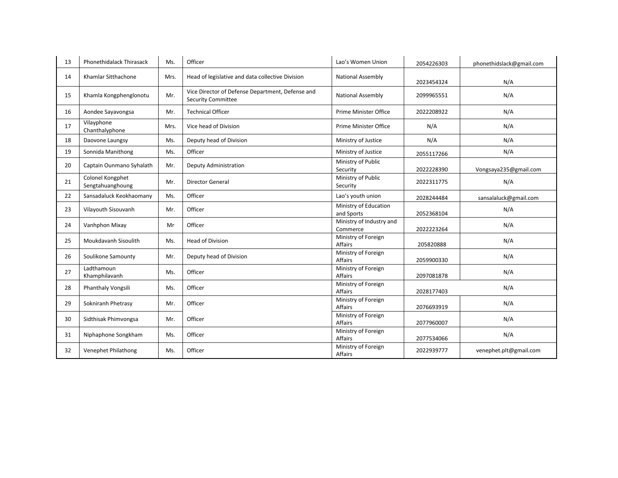| 13 | <b>Phonethidalack Thirasack</b>      | Ms.  | Officer                                                                       | Lao's Women Union                     | 2054226303 | phonethidslack@gmail.com |
|----|--------------------------------------|------|-------------------------------------------------------------------------------|---------------------------------------|------------|--------------------------|
| 14 | Khamlar Sitthachone                  | Mrs. | Head of legislative and data collective Division                              | <b>National Assembly</b>              | 2023454324 | N/A                      |
| 15 | Khamla Kongphenglonotu               | Mr.  | Vice Director of Defense Department, Defense and<br><b>Security Committee</b> | National Assembly                     | 2099965551 | N/A                      |
| 16 | Aondee Sayavongsa                    | Mr.  | <b>Technical Officer</b>                                                      | Prime Minister Office                 | 2022208922 | N/A                      |
| 17 | Vilayphone<br>Chanthalyphone         | Mrs. | Vice head of Division                                                         | Prime Minister Office                 | N/A        | N/A                      |
| 18 | Daovone Laungsy                      | Ms.  | Deputy head of Division                                                       | Ministry of Justice                   | N/A        | N/A                      |
| 19 | Sonnida Manithong                    | Ms.  | Officer                                                                       | Ministry of Justice                   | 2055117266 | N/A                      |
| 20 | Captain Ounmano Syhalath             | Mr.  | Deputy Administration                                                         | Ministry of Public<br>Security        | 2022228390 | Vongsaya235@gmail.com    |
| 21 | Colonel Kongphet<br>Sengtahuanghoung | Mr.  | <b>Director General</b>                                                       | Ministry of Public<br>Security        | 2022311775 | N/A                      |
| 22 | Sansadaluck Keokhaomany              | Ms.  | Officer                                                                       | Lao's youth union                     | 2028244484 | sansalaluck@gmail.com    |
| 23 | Vilayouth Sisouvanh                  | Mr.  | Officer                                                                       | Ministry of Education<br>and Sports   | 2052368104 | N/A                      |
| 24 | Vanhphon Mixay                       | Mr   | Officer                                                                       | Ministry of Industry and<br>Commerce  | 2022223264 | N/A                      |
| 25 | Moukdavanh Sisoulith                 | Ms.  | Head of Division                                                              | Ministry of Foreign<br>Affairs        | 205820888  | N/A                      |
| 26 | Soulikone Samounty                   | Mr.  | Deputy head of Division                                                       | Ministry of Foreign<br><b>Affairs</b> | 2059900330 | N/A                      |
| 27 | Ladthamoun<br>Khamphilavanh          | Ms.  | Officer                                                                       | Ministry of Foreign<br><b>Affairs</b> | 2097081878 | N/A                      |
| 28 | Phanthaly Vongsili                   | Ms.  | Officer                                                                       | Ministry of Foreign<br><b>Affairs</b> | 2028177403 | N/A                      |
| 29 | Sokniranh Phetrasy                   | Mr.  | Officer                                                                       | Ministry of Foreign<br>Affairs        | 2076693919 | N/A                      |
| 30 | Sidthisak Phimvongsa                 | Mr.  | Officer                                                                       | Ministry of Foreign<br><b>Affairs</b> | 2077960007 | N/A                      |
| 31 | Niphaphone Songkham                  | Ms.  | Officer                                                                       | Ministry of Foreign<br>Affairs        | 2077534066 | N/A                      |
| 32 | Venephet Philathong                  | Ms.  | Officer                                                                       | Ministry of Foreign<br><b>Affairs</b> | 2022939777 | venephet.plt@gmail.com   |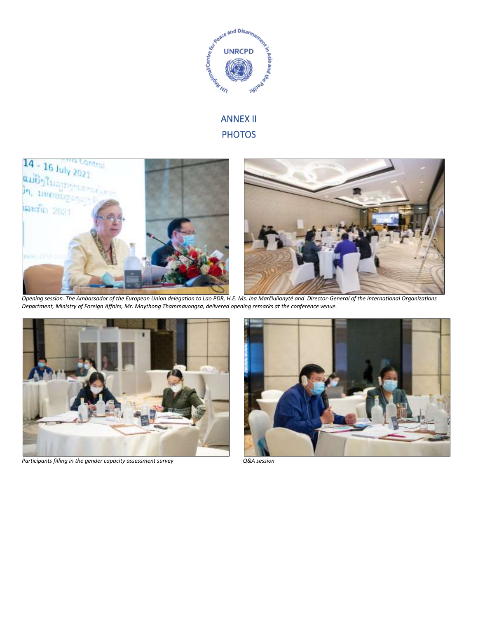

# ANNEX II **PHOTOS**



*Opening session. The Ambassador of the European Union delegation to Lao PDR, H.E. Ms. Ina Marčiulionytė and Director-General of the International Organizations Department, Ministry of Foreign Affairs, Mr. Maythong Thammavongsa, delivered opening remarks at the conference venue.* 



*Participants filling in the gender capacity assessment survey Q&A session*

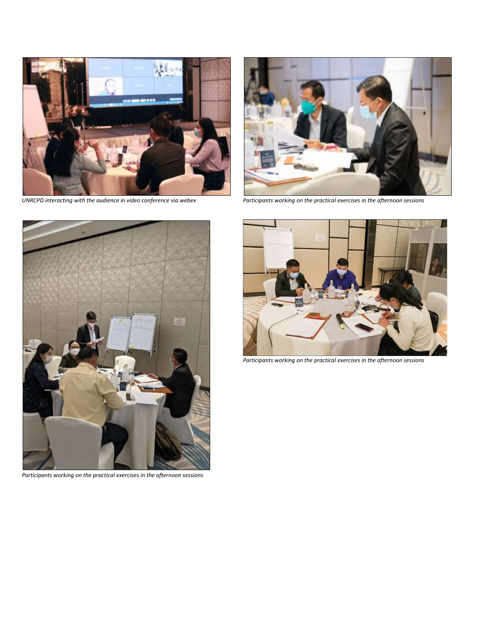

*UNRCPD interacting with the audience in video conference via webex Participants working on the practical exercises in the afternoon sessions*





*Participants working on the practical exercises in the afternoon sessions* 



*Participants working on the practical exercises in the afternoon sessions*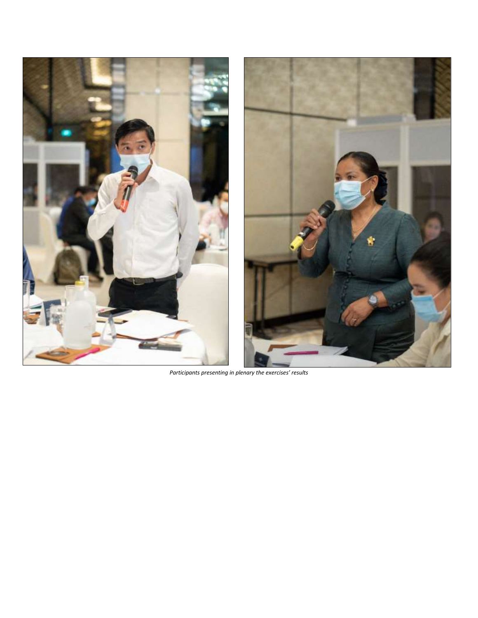

*Participants presenting in plenary the exercises' results*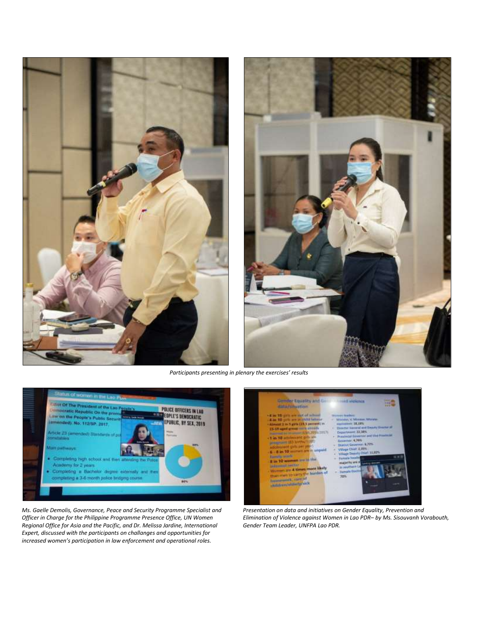



*Participants presenting in plenary the exercises' results*



*Ms. Gaelle Demolis, Governance, Peace and Security Programme Specialist and Officer in Charge for the Philippine Programme Presence Office, UN Women Regional Office for Asia and the Pacific, and Dr. Melissa Jardine, International Expert, discussed with the participants on challanges and opportunities for increased women's participation in law enforcement and operational roles.* 



*Presentation on data and initiatives on Gender Equality, Prevention and Elimination of Violence against Women in Lao PDR– by Ms. Sisouvanh Vorabouth, Gender Team Leader, UNFPA Lao PDR.*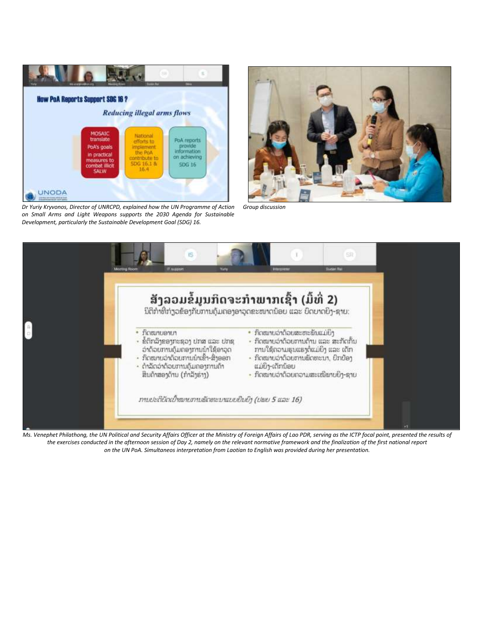

*Dr Yuriy Kryvonos, Director of UNRCPD, explained how the UN Programme of Action on Small Arms and Light Weapons supports the 2030 Agenda for Sustainable Development, particularly the Sustainable Development Goal (SDG) 16.*



*Group discussion* 



*Ms. Venephet Philathong, the UN Political and Security Affairs Officer at the Ministry of Foreign Affairs of Lao PDR, serving as the ICTP focal point, presented the results of the exercises conducted in the afternoon session of Day 2, namely on the relevant normative framework and the finalization of the first national report on the UN PoA. Simultaneos interpretation from Laotian to English was provided during her presentation.*